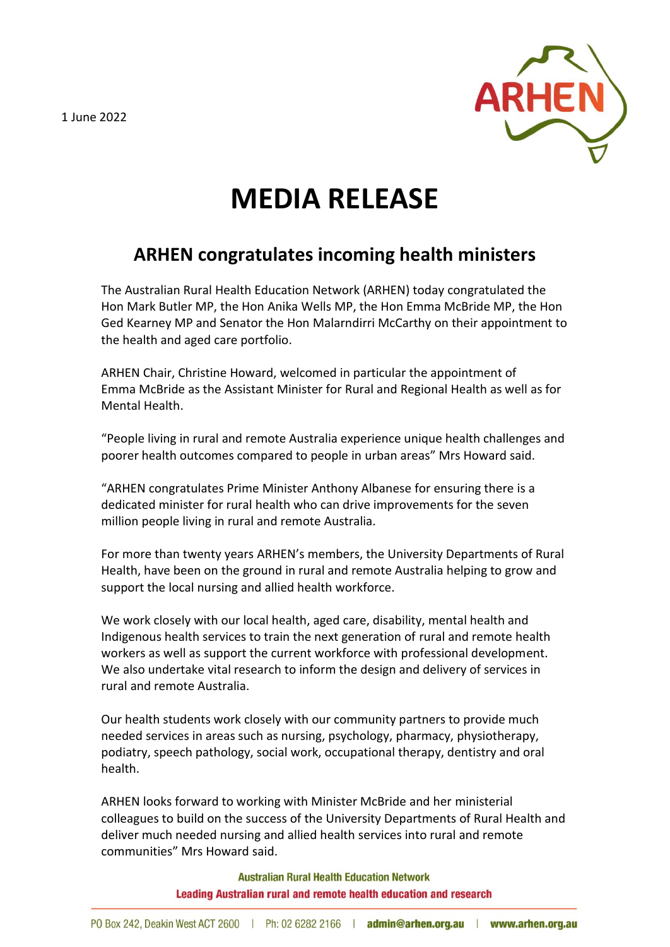1 June 2022



## **MEDIA RELEASE**

## **ARHEN congratulates incoming health ministers**

The Australian Rural Health Education Network (ARHEN) today congratulated the Hon Mark Butler MP, the Hon Anika Wells MP, the Hon Emma McBride MP, the Hon Ged Kearney MP and Senator the Hon Malarndirri McCarthy on their appointment to the health and aged care portfolio.

ARHEN Chair, Christine Howard, welcomed in particular the appointment of Emma McBride as the Assistant Minister for Rural and Regional Health as well as for Mental Health.

"People living in rural and remote Australia experience unique health challenges and poorer health outcomes compared to people in urban areas" Mrs Howard said.

"ARHEN congratulates Prime Minister Anthony Albanese for ensuring there is a dedicated minister for rural health who can drive improvements for the seven million people living in rural and remote Australia.

For more than twenty years ARHEN's members, the University Departments of Rural Health, have been on the ground in rural and remote Australia helping to grow and support the local nursing and allied health workforce.

We work closely with our local health, aged care, disability, mental health and Indigenous health services to train the next generation of rural and remote health workers as well as support the current workforce with professional development. We also undertake vital research to inform the design and delivery of services in rural and remote Australia.

Our health students work closely with our community partners to provide much needed services in areas such as nursing, psychology, pharmacy, physiotherapy, podiatry, speech pathology, social work, occupational therapy, dentistry and oral health.

ARHEN looks forward to working with Minister McBride and her ministerial colleagues to build on the success of the University Departments of Rural Health and deliver much needed nursing and allied health services into rural and remote communities" Mrs Howard said.

> **Australian Rural Health Education Network** Leading Australian rural and remote health education and research